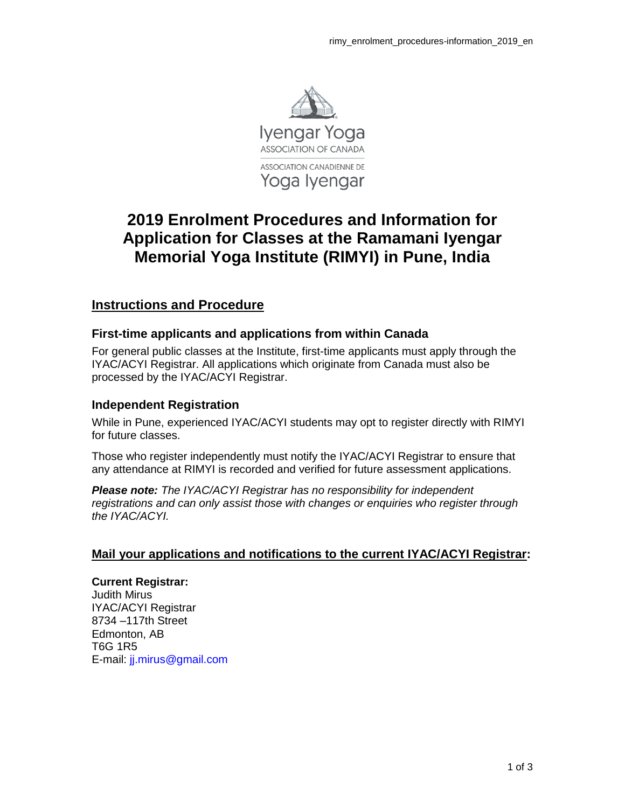

# **2019 Enrolment Procedures and Information for Application for Classes at the Ramamani Iyengar Memorial Yoga Institute (RIMYI) in Pune, India**

# **Instructions and Procedure**

# **First-time applicants and applications from within Canada**

For general public classes at the Institute, first-time applicants must apply through the IYAC/ACYI Registrar. All applications which originate from Canada must also be processed by the IYAC/ACYI Registrar.

### **Independent Registration**

While in Pune, experienced IYAC/ACYI students may opt to register directly with RIMYI for future classes.

Those who register independently must notify the IYAC/ACYI Registrar to ensure that any attendance at RIMYI is recorded and verified for future assessment applications.

*Please note: The IYAC/ACYI Registrar has no responsibility for independent registrations and can only assist those with changes or enquiries who register through the IYAC/ACYI.*

# **Mail your applications and notifications to the current IYAC/ACYI Registrar:**

#### **Current Registrar:**

Judith Mirus IYAC/ACYI Registrar 8734 –117th Street Edmonton, AB T6G 1R5 E-mail: jj.mirus@gmail.com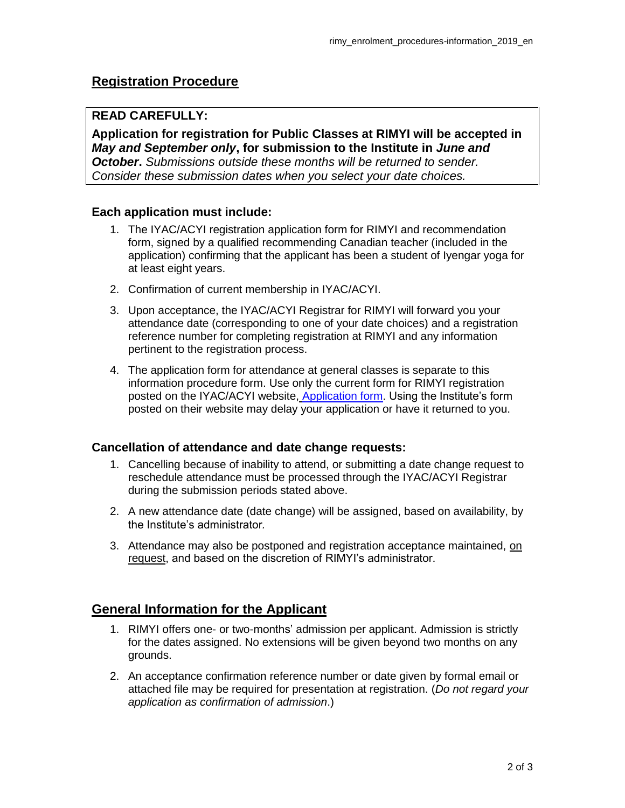# **Registration Procedure**

# **READ CAREFULLY:**

**Application for registration for Public Classes at RIMYI will be accepted in** *May and September only***, for submission to the Institute in** *June and October***.** *Submissions outside these months will be returned to sender. Consider these submission dates when you select your date choices.*

# **Each application must include:**

- 1. The IYAC/ACYI registration application form for RIMYI and recommendation form, signed by a qualified recommending Canadian teacher (included in the application) confirming that the applicant has been a student of Iyengar yoga for at least eight years.
- 2. Confirmation of current membership in IYAC/ACYI.
- 3. Upon acceptance, the IYAC/ACYI Registrar for RIMYI will forward you your attendance date (corresponding to one of your date choices) and a registration reference number for completing registration at RIMYI and any information pertinent to the registration process.
- 4. The application form for attendance at general classes is separate to this information procedure form. Use only the current form for RIMYI registration posted on the IYAC/ACYI website, [Application form.](https://iyengaryogacanada.com/wp-content/uploads/2018/12/rimyi-application_2017_en.pdf) Using the Institute's form posted on their website may delay your application or have it returned to you.

# **Cancellation of attendance and date change requests:**

- 1. Cancelling because of inability to attend, or submitting a date change request to reschedule attendance must be processed through the IYAC/ACYI Registrar during the submission periods stated above.
- 2. A new attendance date (date change) will be assigned, based on availability, by the Institute's administrator*.*
- 3. Attendance may also be postponed and registration acceptance maintained, on request, and based on the discretion of RIMYI's administrator.

# **General Information for the Applicant**

- 1. RIMYI offers one- or two-months' admission per applicant. Admission is strictly for the dates assigned. No extensions will be given beyond two months on any grounds.
- 2. An acceptance confirmation reference number or date given by formal email or attached file may be required for presentation at registration. (*Do not regard your application as confirmation of admission*.)